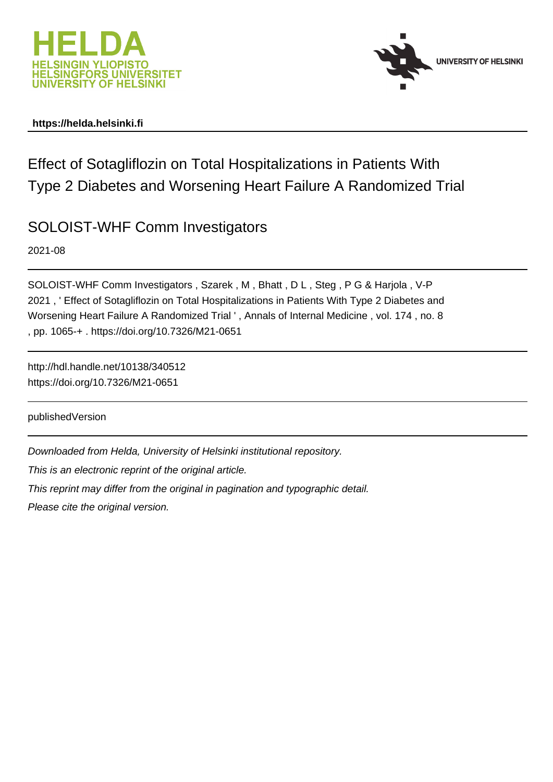



### **https://helda.helsinki.fi**

# Effect of Sotagliflozin on Total Hospitalizations in Patients With Type 2 Diabetes and Worsening Heart Failure A Randomized Trial

# SOLOIST-WHF Comm Investigators

2021-08

SOLOIST-WHF Comm Investigators , Szarek , M , Bhatt , D L , Steg , P G & Harjola , V-P 2021 , ' Effect of Sotagliflozin on Total Hospitalizations in Patients With Type 2 Diabetes and Worsening Heart Failure A Randomized Trial ' , Annals of Internal Medicine , vol. 174 , no. 8 , pp. 1065-+ . https://doi.org/10.7326/M21-0651

http://hdl.handle.net/10138/340512 https://doi.org/10.7326/M21-0651

publishedVersion

Downloaded from Helda, University of Helsinki institutional repository.

This is an electronic reprint of the original article.

This reprint may differ from the original in pagination and typographic detail.

Please cite the original version.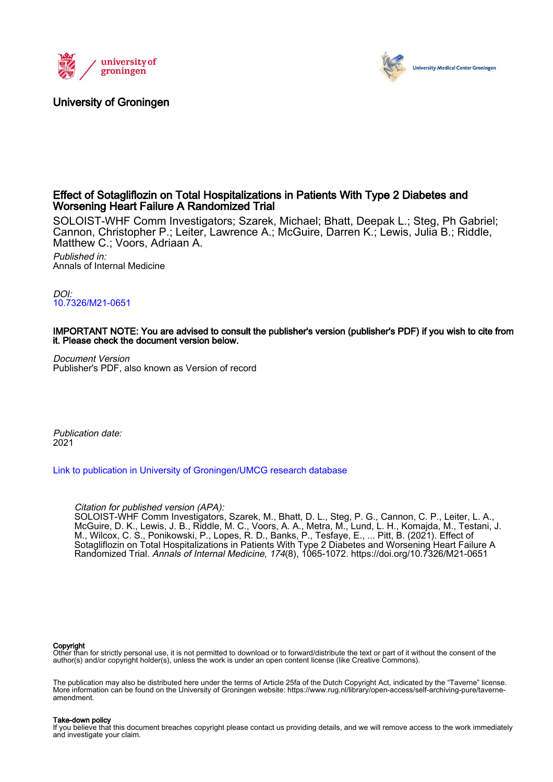

### University of Groningen



#### Effect of Sotagliflozin on Total Hospitalizations in Patients With Type 2 Diabetes and Worsening Heart Failure A Randomized Trial

SOLOIST-WHF Comm Investigators; Szarek, Michael; Bhatt, Deepak L.; Steg, Ph Gabriel; Cannon, Christopher P.; Leiter, Lawrence A.; McGuire, Darren K.; Lewis, Julia B.; Riddle, Matthew C.; Voors, Adriaan A. Published in: Annals of Internal Medicine

DOI: [10.7326/M21-0651](https://doi.org/10.7326/M21-0651)

#### IMPORTANT NOTE: You are advised to consult the publisher's version (publisher's PDF) if you wish to cite from it. Please check the document version below.

Document Version Publisher's PDF, also known as Version of record

Publication date: 2021

[Link to publication in University of Groningen/UMCG research database](https://research.rug.nl/en/publications/effect-of-sotagliflozin-on-total-hospitalizations-in-patients-with-type-2-diabetes-and-worsening-heart-failure-a-randomized-trial(ea4f4b37-ec5e-4ab7-b720-19a97f7103a9).html)

Citation for published version (APA):

SOLOIST-WHF Comm Investigators, Szarek, M., Bhatt, D. L., Steg, P. G., Cannon, C. P., Leiter, L. A., McGuire, D. K., Lewis, J. B., Riddle, M. C., Voors, A. A., Metra, M., Lund, L. H., Komajda, M., Testani, J. M., Wilcox, C. S., Ponikowski, P., Lopes, R. D., Banks, P., Tesfaye, E., ... Pitt, B. (2021). Effect of Sotagliflozin on Total Hospitalizations in Patients With Type 2 Diabetes and Worsening Heart Failure A Randomized Trial. Annals of Internal Medicine, 174(8), 1065-1072. <https://doi.org/10.7326/M21-0651>

#### Copyright

Other than for strictly personal use, it is not permitted to download or to forward/distribute the text or part of it without the consent of the<br>author(s) and/or copyright holder(s), unless the work is under an open conten

The publication may also be distributed here under the terms of Article 25fa of the Dutch Copyright Act, indicated by the "Taverne" license. More information can be found on the University of Groningen website: https://www.rug.nl/library/open-access/self-archiving-pure/taverneamendment.

#### Take-down policy

If you believe that this document breaches copyright please contact us providing details, and we will remove access to the work immediately and investigate your claim.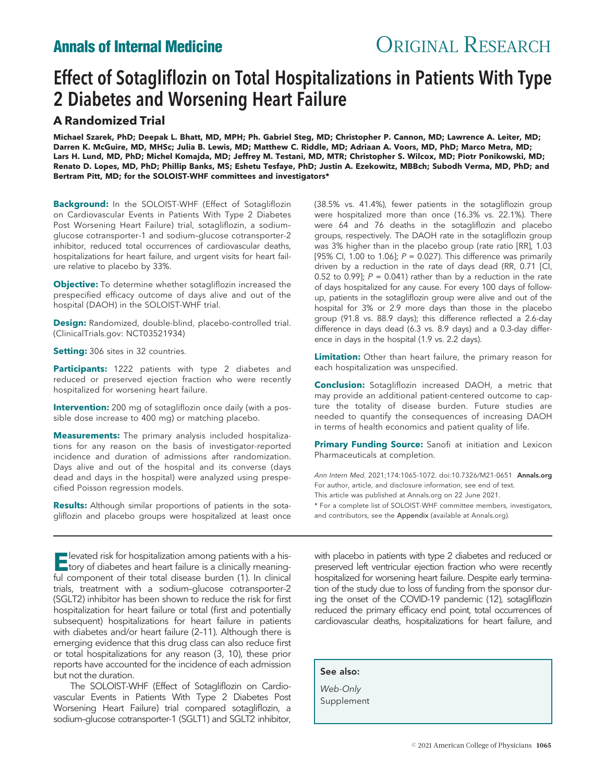# Annals of Internal Medicine **CORIGINAL RESEARCH**

# Effect of Sotagliflozin on Total Hospitalizations in Patients With Type 2 Diabetes and Worsening Heart Failure

### A Randomized Trial

Michael Szarek, PhD; Deepak L. Bhatt, MD, MPH; Ph. Gabriel Steg, MD; Christopher P. Cannon, MD; Lawrence A. Leiter, MD; Darren K. McGuire, MD, MHSc; Julia B. Lewis, MD; Matthew C. Riddle, MD; Adriaan A. Voors, MD, PhD; Marco Metra, MD; Lars H. Lund, MD, PhD; Michel Komajda, MD; Jeffrey M. Testani, MD, MTR; Christopher S. Wilcox, MD; Piotr Ponikowski, MD; Renato D. Lopes, MD, PhD; Phillip Banks, MS; Eshetu Tesfaye, PhD; Justin A. Ezekowitz, MBBch; Subodh Verma, MD, PhD; and Bertram Pitt, MD; for the SOLOIST-WHF committees and investigators\*

Background: In the SOLOIST-WHF (Effect of Sotagliflozin on Cardiovascular Events in Patients With Type 2 Diabetes Post Worsening Heart Failure) trial, sotagliflozin, a sodium– glucose cotransporter-1 and sodium–glucose cotransporter-2 inhibitor, reduced total occurrences of cardiovascular deaths, hospitalizations for heart failure, and urgent visits for heart failure relative to placebo by 33%.

**Objective:** To determine whether sotagliflozin increased the prespecified efficacy outcome of days alive and out of the hospital (DAOH) in the SOLOIST-WHF trial.

Design: Randomized, double-blind, placebo-controlled trial. (ClinicalTrials.gov: NCT03521934)

Setting: 306 sites in 32 countries.

Participants: 1222 patients with type 2 diabetes and reduced or preserved ejection fraction who were recently hospitalized for worsening heart failure.

Intervention: 200 mg of sotagliflozin once daily (with a possible dose increase to 400 mg) or matching placebo.

Measurements: The primary analysis included hospitalizations for any reason on the basis of investigator-reported incidence and duration of admissions after randomization. Days alive and out of the hospital and its converse (days dead and days in the hospital) were analyzed using prespecified Poisson regression models.

Results: Although similar proportions of patients in the sotagliflozin and placebo groups were hospitalized at least once

Elevated risk for hospitalization among patients with a his-tory of diabetes and heart failure is a clinically meaningful component of their total disease burden (1). In clinical trials, treatment with a sodium–glucose cotransporter-2 (SGLT2) inhibitor has been shown to reduce the risk for first hospitalization for heart failure or total (first and potentially subsequent) hospitalizations for heart failure in patients with diabetes and/or heart failure (2–11). Although there is emerging evidence that this drug class can also reduce first or total hospitalizations for any reason (3, 10), these prior reports have accounted for the incidence of each admission but not the duration.

The SOLOIST-WHF (Effect of Sotagliflozin on Cardiovascular Events in Patients With Type 2 Diabetes Post Worsening Heart Failure) trial compared sotagliflozin, a sodium-glucose cotransporter-1 (SGLT1) and SGLT2 inhibitor, (38.5% vs. 41.4%), fewer patients in the sotagliflozin group were hospitalized more than once (16.3% vs. 22.1%). There were 64 and 76 deaths in the sotagliflozin and placebo groups, respectively. The DAOH rate in the sotagliflozin group was 3% higher than in the placebo group (rate ratio [RR], 1.03 [95% CI, 1.00 to 1.06];  $P = 0.027$ ). This difference was primarily driven by a reduction in the rate of days dead (RR, 0.71 [CI, 0.52 to 0.99];  $P = 0.041$ ) rather than by a reduction in the rate of days hospitalized for any cause. For every 100 days of followup, patients in the sotagliflozin group were alive and out of the hospital for 3% or 2.9 more days than those in the placebo group (91.8 vs. 88.9 days); this difference reflected a 2.6-day difference in days dead (6.3 vs. 8.9 days) and a 0.3-day difference in days in the hospital (1.9 vs. 2.2 days).

Limitation: Other than heart failure, the primary reason for each hospitalization was unspecified.

**Conclusion:** Sotagliflozin increased DAOH, a metric that may provide an additional patient-centered outcome to capture the totality of disease burden. Future studies are needed to quantify the consequences of increasing DAOH in terms of health economics and patient quality of life.

Primary Funding Source: Sanofi at initiation and Lexicon Pharmaceuticals at completion.

Ann Intern Med. 2021:174:1065-1072. doi:10.7326/M21-0651 Annals.org For author, article, and disclosure information, see end of text. This article was published at Annals.org on 22 June 2021. \* For a complete list of SOLOIST-WHF committee members, investigators, and contributors, see the Appendix (available at Annals.org).

with placebo in patients with type 2 diabetes and reduced or preserved left ventricular ejection fraction who were recently hospitalized for worsening heart failure. Despite early termination of the study due to loss of funding from the sponsor during the onset of the COVID-19 pandemic (12), sotagliflozin reduced the primary efficacy end point, total occurrences of cardiovascular deaths, hospitalizations for heart failure, and

See also:

Web-Only Supplement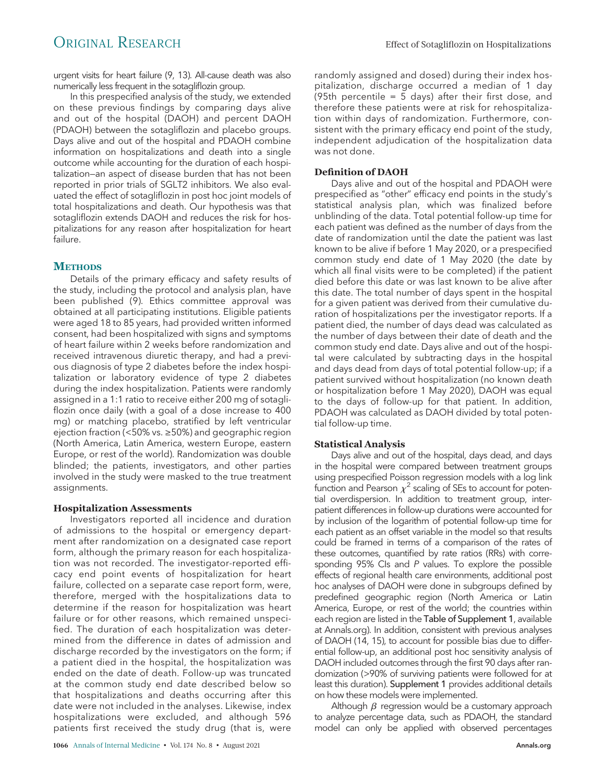## ORIGINAL RESEARCH Effect of Sotagliflozin on Hospitalizations

urgent visits for heart failure (9, 13). All-cause death was also numerically less frequent in the sotagliflozin group.

In this prespecified analysis of the study, we extended on these previous findings by comparing days alive and out of the hospital (DAOH) and percent DAOH (PDAOH) between the sotagliflozin and placebo groups. Days alive and out of the hospital and PDAOH combine information on hospitalizations and death into a single outcome while accounting for the duration of each hospitalization—an aspect of disease burden that has not been reported in prior trials of SGLT2 inhibitors. We also evaluated the effect of sotagliflozin in post hoc joint models of total hospitalizations and death. Our hypothesis was that sotagliflozin extends DAOH and reduces the risk for hospitalizations for any reason after hospitalization for heart failure.

#### **METHODS**

Details of the primary efficacy and safety results of the study, including the protocol and analysis plan, have been published (9). Ethics committee approval was obtained at all participating institutions. Eligible patients were aged 18 to 85 years, had provided written informed consent, had been hospitalized with signs and symptoms of heart failure within 2 weeks before randomization and received intravenous diuretic therapy, and had a previous diagnosis of type 2 diabetes before the index hospitalization or laboratory evidence of type 2 diabetes during the index hospitalization. Patients were randomly assigned in a 1:1 ratio to receive either 200 mg of sotagliflozin once daily (with a goal of a dose increase to 400 mg) or matching placebo, stratified by left ventricular ejection fraction (<50% vs. ≥50%) and geographic region (North America, Latin America, western Europe, eastern Europe, or rest of the world). Randomization was double blinded; the patients, investigators, and other parties involved in the study were masked to the true treatment assignments.

#### Hospitalization Assessments

Investigators reported all incidence and duration of admissions to the hospital or emergency department after randomization on a designated case report form, although the primary reason for each hospitalization was not recorded. The investigator-reported efficacy end point events of hospitalization for heart failure, collected on a separate case report form, were, therefore, merged with the hospitalizations data to determine if the reason for hospitalization was heart failure or for other reasons, which remained unspecified. The duration of each hospitalization was determined from the difference in dates of admission and discharge recorded by the investigators on the form; if a patient died in the hospital, the hospitalization was ended on the date of death. Follow-up was truncated at the common study end date described below so that hospitalizations and deaths occurring after this date were not included in the analyses. Likewise, index hospitalizations were excluded, and although 596 patients first received the study drug (that is, were

randomly assigned and dosed) during their index hospitalization, discharge occurred a median of 1 day (95th percentile =  $\frac{1}{5}$  days) after their first dose, and therefore these patients were at risk for rehospitalization within days of randomization. Furthermore, consistent with the primary efficacy end point of the study, independent adjudication of the hospitalization data was not done.

#### Definition of DAOH

Days alive and out of the hospital and PDAOH were prespecified as "other" efficacy end points in the study's statistical analysis plan, which was finalized before unblinding of the data. Total potential follow-up time for each patient was defined as the number of days from the date of randomization until the date the patient was last known to be alive if before 1 May 2020, or a prespecified common study end date of 1 May 2020 (the date by which all final visits were to be completed) if the patient died before this date or was last known to be alive after this date. The total number of days spent in the hospital for a given patient was derived from their cumulative duration of hospitalizations per the investigator reports. If a patient died, the number of days dead was calculated as the number of days between their date of death and the common study end date. Days alive and out of the hospital were calculated by subtracting days in the hospital and days dead from days of total potential follow-up; if a patient survived without hospitalization (no known death or hospitalization before 1 May 2020), DAOH was equal to the days of follow-up for that patient. In addition, PDAOH was calculated as DAOH divided by total potential follow-up time.

#### Statistical Analysis

Days alive and out of the hospital, days dead, and days in the hospital were compared between treatment groups using prespecified Poisson regression models with a log link function and Pearson  $\chi^2$  scaling of SEs to account for potential overdispersion. In addition to treatment group, interpatient differences in follow-up durations were accounted for by inclusion of the logarithm of potential follow-up time for each patient as an offset variable in the model so that results could be framed in terms of a comparison of the rates of these outcomes, quantified by rate ratios (RRs) with corresponding 95% CIs and P values. To explore the possible effects of regional health care environments, additional post hoc analyses of DAOH were done in subgroups defined by predefined geographic region (North America or Latin America, Europe, or rest of the world; the countries within each region are listed in the Table of Supplement 1, available at Annals.org). In addition, consistent with previous analyses of DAOH (14, 15), to account for possible bias due to differential follow-up, an additional post hoc sensitivity analysis of DAOH included outcomes through the first 90 days after randomization (>90% of surviving patients were followed for at least this duration). Supplement 1 provides additional details on how these models were implemented.

Although  $\beta$  regression would be a customary approach to analyze percentage data, such as PDAOH, the standard model can only be applied with observed percentages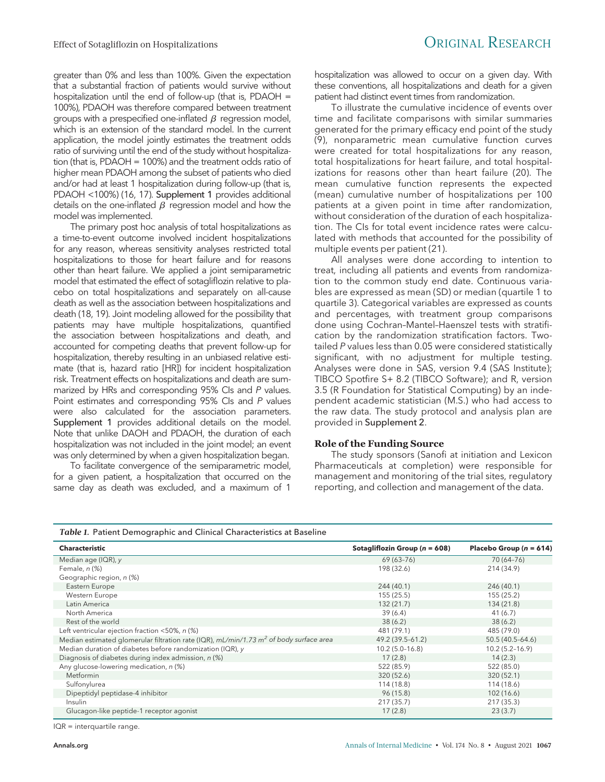greater than 0% and less than 100%. Given the expectation that a substantial fraction of patients would survive without hospitalization until the end of follow-up (that is, PDAOH = 100%), PDAOH was therefore compared between treatment groups with a prespecified one-inflated  $\beta$  regression model, which is an extension of the standard model. In the current application, the model jointly estimates the treatment odds ratio of surviving until the end of the study without hospitalization (that is, PDAOH = 100%) and the treatment odds ratio of higher mean PDAOH among the subset of patients who died and/or had at least 1 hospitalization during follow-up (that is, PDAOH <100%) (16, 17). Supplement 1 provides additional details on the one-inflated  $\beta$  regression model and how the model was implemented.

The primary post hoc analysis of total hospitalizations as a time-to-event outcome involved incident hospitalizations for any reason, whereas sensitivity analyses restricted total hospitalizations to those for heart failure and for reasons other than heart failure. We applied a joint semiparametric model that estimated the effect of sotagliflozin relative to placebo on total hospitalizations and separately on all-cause death as well as the association between hospitalizations and death (18, 19). Joint modeling allowed for the possibility that patients may have multiple hospitalizations, quantified the association between hospitalizations and death, and accounted for competing deaths that prevent follow-up for hospitalization, thereby resulting in an unbiased relative estimate (that is, hazard ratio [HR]) for incident hospitalization risk. Treatment effects on hospitalizations and death are summarized by HRs and corresponding 95% CIs and P values. Point estimates and corresponding 95% CIs and P values were also calculated for the association parameters. Supplement 1 provides additional details on the model. Note that unlike DAOH and PDAOH, the duration of each hospitalization was not included in the joint model; an event was only determined by when a given hospitalization began.

To facilitate convergence of the semiparametric model, for a given patient, a hospitalization that occurred on the same day as death was excluded, and a maximum of 1

hospitalization was allowed to occur on a given day. With these conventions, all hospitalizations and death for a given patient had distinct event times from randomization.

To illustrate the cumulative incidence of events over time and facilitate comparisons with similar summaries generated for the primary efficacy end point of the study (9), nonparametric mean cumulative function curves were created for total hospitalizations for any reason, total hospitalizations for heart failure, and total hospitalizations for reasons other than heart failure (20). The mean cumulative function represents the expected (mean) cumulative number of hospitalizations per 100 patients at a given point in time after randomization, without consideration of the duration of each hospitalization. The CIs for total event incidence rates were calculated with methods that accounted for the possibility of multiple events per patient (21).

All analyses were done according to intention to treat, including all patients and events from randomization to the common study end date. Continuous variables are expressed as mean (SD) or median (quartile 1 to quartile 3). Categorical variables are expressed as counts and percentages, with treatment group comparisons done using Cochran–Mantel–Haenszel tests with stratification by the randomization stratification factors. Twotailed P values less than 0.05 were considered statistically significant, with no adjustment for multiple testing. Analyses were done in SAS, version 9.4 (SAS Institute); TIBCO Spotfire S+ 8.2 (TIBCO Software); and R, version 3.5 (R Foundation for Statistical Computing) by an independent academic statistician (M.S.) who had access to the raw data. The study protocol and analysis plan are provided in Supplement 2.

#### Role of the Funding Source

The study sponsors (Sanofi at initiation and Lexicon Pharmaceuticals at completion) were responsible for management and monitoring of the trial sites, regulatory reporting, and collection and management of the data.

Table 1. Patient Demographic and Clinical Characteristics at Baseline

| <b>Characteristic</b>                                                                    | Sotagliflozin Group ( $n = 608$ ) | Placebo Group ( $n = 614$ ) |
|------------------------------------------------------------------------------------------|-----------------------------------|-----------------------------|
| Median age (IQR), $y$                                                                    | 69 (63-76)                        | 70 (64-76)                  |
| Female, n (%)                                                                            | 198 (32.6)                        | 214 (34.9)                  |
| Geographic region, n (%)                                                                 |                                   |                             |
| Eastern Europe                                                                           | 244 (40.1)                        | 246 (40.1)                  |
| Western Europe                                                                           | 155(25.5)                         | 155 (25.2)                  |
| Latin America                                                                            | 132(21.7)                         | 134 (21.8)                  |
| North America                                                                            | 39(6.4)                           | 41(6.7)                     |
| Rest of the world                                                                        | 38(6.2)                           | 38(6.2)                     |
| Left ventricular ejection fraction <50%, n (%)                                           | 481 (79.1)                        | 485 (79.0)                  |
| Median estimated glomerular filtration rate (IQR), $mL/min/1.73 m2$ of body surface area | 49.2 (39.5-61.2)                  | $50.5(40.5-64.6)$           |
| Median duration of diabetes before randomization (IQR), y                                | $10.2(5.0-16.8)$                  | $10.2(5.2 - 16.9)$          |
| Diagnosis of diabetes during index admission, n (%)                                      | 17(2.8)                           | 14(2.3)                     |
| Any glucose-lowering medication, n (%)                                                   | 522 (85.9)                        | 522 (85.0)                  |
| Metformin                                                                                | 320 (52.6)                        | 320 (52.1)                  |
| Sulfonylurea                                                                             | 114 (18.8)                        | 114 (18.6)                  |
| Dipeptidyl peptidase-4 inhibitor                                                         | 96(15.8)                          | 102(16.6)                   |
| Insulin                                                                                  | 217 (35.7)                        | 217 (35.3)                  |
| Glucagon-like peptide-1 receptor agonist                                                 | 17(2.8)                           | 23(3.7)                     |

IQR = interquartile range.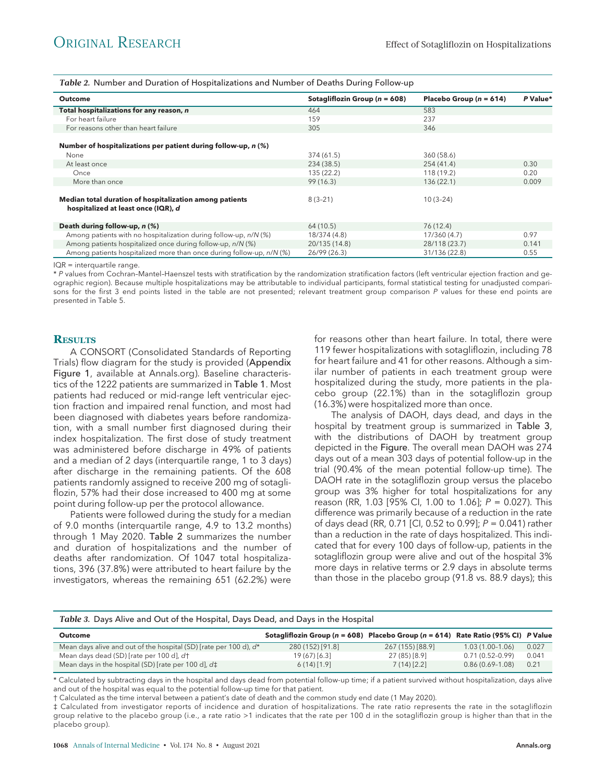Table 2. Number and Duration of Hospitalizations and Number of Deaths During Follow-up

| <b>Outcome</b>                                                                                 | Sotagliflozin Group ( $n = 608$ ) | Placebo Group ( $n = 614$ ) | P Value* |
|------------------------------------------------------------------------------------------------|-----------------------------------|-----------------------------|----------|
| Total hospitalizations for any reason, n                                                       | 464                               | 583                         |          |
| For heart failure                                                                              | 159                               | 237                         |          |
| For reasons other than heart failure                                                           | 305                               | 346                         |          |
| Number of hospitalizations per patient during follow-up, n (%)                                 |                                   |                             |          |
| None                                                                                           | 374 (61.5)                        | 360 (58.6)                  |          |
| At least once                                                                                  | 234 (38.5)                        | 254 (41.4)                  | 0.30     |
| Once                                                                                           | 135 (22.2)                        | 118 (19.2)                  | 0.20     |
| More than once                                                                                 | 99(16.3)                          | 136(22.1)                   | 0.009    |
| Median total duration of hospitalization among patients<br>hospitalized at least once (IQR), d | $8(3-21)$                         | $10(3-24)$                  |          |
| Death during follow-up, n (%)                                                                  | 64 (10.5)                         | 76 (12.4)                   |          |
| Among patients with no hospitalization during follow-up, n/N (%)                               | 18/374 (4.8)                      | 17/360 (4.7)                | 0.97     |
| Among patients hospitalized once during follow-up, n/N (%)                                     | 20/135 (14.8)                     | 28/118 (23.7)               | 0.141    |
| Among patients hospitalized more than once during follow-up, n/N (%)                           | 26/99 (26.3)                      | 31/136 (22.8)               | 0.55     |

IQR = interquartile range.

\* P values from Cochran–Mantel–Haenszel tests with stratification by the randomization stratification factors (left ventricular ejection fraction and geographic region). Because multiple hospitalizations may be attributable to individual participants, formal statistical testing for unadjusted comparisons for the first 3 end points listed in the table are not presented; relevant treatment group comparison P values for these end points are presented in Table 5.

#### **RESULTS**

A CONSORT (Consolidated Standards of Reporting Trials) flow diagram for the study is provided (Appendix Figure 1, available at Annals.org). Baseline characteristics of the 1222 patients are summarized in Table 1. Most patients had reduced or mid-range left ventricular ejection fraction and impaired renal function, and most had been diagnosed with diabetes years before randomization, with a small number first diagnosed during their index hospitalization. The first dose of study treatment was administered before discharge in 49% of patients and a median of 2 days (interquartile range, 1 to 3 days) after discharge in the remaining patients. Of the 608 patients randomly assigned to receive 200 mg of sotagliflozin, 57% had their dose increased to 400 mg at some point during follow-up per the protocol allowance.

Patients were followed during the study for a median of 9.0 months (interquartile range, 4.9 to 13.2 months) through 1 May 2020. Table 2 summarizes the number and duration of hospitalizations and the number of deaths after randomization. Of 1047 total hospitalizations, 396 (37.8%) were attributed to heart failure by the investigators, whereas the remaining 651 (62.2%) were

for reasons other than heart failure. In total, there were 119 fewer hospitalizations with sotagliflozin, including 78 for heart failure and 41 for other reasons. Although a similar number of patients in each treatment group were hospitalized during the study, more patients in the placebo group (22.1%) than in the sotagliflozin group (16.3%) were hospitalized more than once.

The analysis of DAOH, days dead, and days in the hospital by treatment group is summarized in Table 3, with the distributions of DAOH by treatment group depicted in the Figure. The overall mean DAOH was 274 days out of a mean 303 days of potential follow-up in the trial (90.4% of the mean potential follow-up time). The DAOH rate in the sotagliflozin group versus the placebo group was 3% higher for total hospitalizations for any reason (RR, 1.03 [95% CI, 1.00 to 1.06]; P = 0.027). This difference was primarily because of a reduction in the rate of days dead (RR, 0.71 [CI, 0.52 to 0.99]; P = 0.041) rather than a reduction in the rate of days hospitalized. This indicated that for every 100 days of follow-up, patients in the sotagliflozin group were alive and out of the hospital 3% more days in relative terms or 2.9 days in absolute terms than those in the placebo group (91.8 vs. 88.9 days); this

| Table 3. Days Alive and Out of the Hospital, Days Dead, and Days in the Hospital |                                                                                           |                  |                   |       |
|----------------------------------------------------------------------------------|-------------------------------------------------------------------------------------------|------------------|-------------------|-------|
| <b>Outcome</b>                                                                   | Sotagliflozin Group ( $n = 608$ ) Placebo Group ( $n = 614$ ) Rate Ratio (95% CI) P Value |                  |                   |       |
| Mean days alive and out of the hospital (SD) [rate per 100 d), d <sup>*</sup>    | 280 (152) [91.8]                                                                          | 267 (155) [88.9] | $1.03(1.00-1.06)$ | 0.027 |
| Mean days dead (SD) [rate per 100 d], d†                                         | 19(67)[6.3]                                                                               | 27 (85) [8.9]    | $0.71(0.52-0.99)$ | 0.041 |
| Mean days in the hospital (SD) [rate per 100 d], $d\ddagger$                     | 6(14)[1.9]                                                                                | 7(14)[2.2]       | $0.86(0.69-1.08)$ | 0.21  |

\* Calculated by subtracting days in the hospital and days dead from potential follow-up time; if a patient survived without hospitalization, days alive and out of the hospital was equal to the potential follow-up time for that patient.

† Calculated as the time interval between a patient's date of death and the common study end date (1 May 2020).

‡ Calculated from investigator reports of incidence and duration of hospitalizations. The rate ratio represents the rate in the sotagliflozin group relative to the placebo group (i.e., a rate ratio >1 indicates that the rate per 100 d in the sotagliflozin group is higher than that in the placebo group).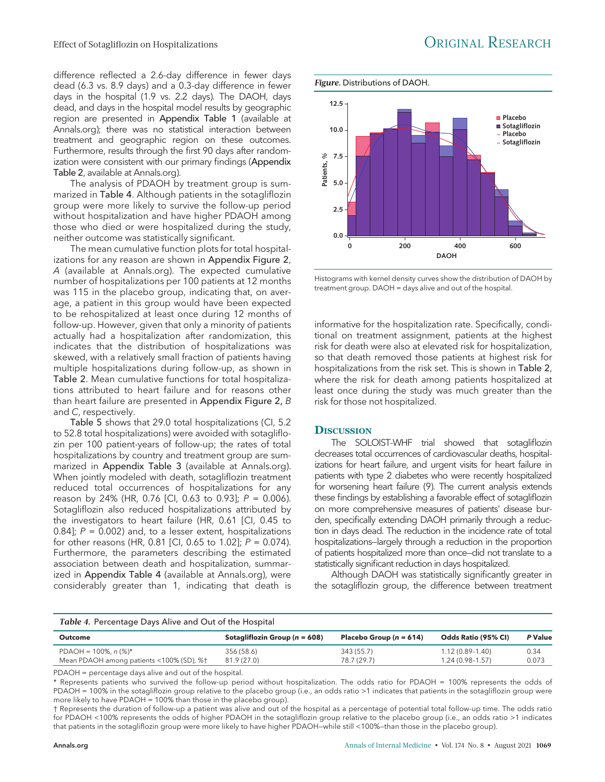difference reflected a 2.6-day difference in fewer days dead (6.3 vs. 8.9 days) and a 0.3-day difference in fewer days in the hospital (1.9 vs. 2.2 days). The DAOH, days dead, and days in the hospital model results by geographic region are presented in Appendix Table 1 (available at Annals.org); there was no statistical interaction between treatment and geographic region on these outcomes. Furthermore, results through the first 90 days after randomization were consistent with our primary findings (Appendix Table 2, available at Annals.org).

The analysis of PDAOH by treatment group is summarized in Table 4. Although patients in the sotagliflozin group were more likely to survive the follow-up period without hospitalization and have higher PDAOH among those who died or were hospitalized during the study, neither outcome was statistically significant.

The mean cumulative function plots for total hospitalizations for any reason are shown in Appendix Figure 2, A (available at Annals.org). The expected cumulative number of hospitalizations per 100 patients at 12 months was 115 in the placebo group, indicating that, on average, a patient in this group would have been expected to be rehospitalized at least once during 12 months of follow-up. However, given that only a minority of patients actually had a hospitalization after randomization, this indicates that the distribution of hospitalizations was skewed, with a relatively small fraction of patients having multiple hospitalizations during follow-up, as shown in Table 2. Mean cumulative functions for total hospitalizations attributed to heart failure and for reasons other than heart failure are presented in Appendix Figure 2, B and C, respectively.

Table 5 shows that 29.0 total hospitalizations (CI, 5.2 to 52.8 total hospitalizations) were avoided with sotagliflozin per 100 patient-years of follow-up; the rates of total hospitalizations by country and treatment group are summarized in Appendix Table 3 (available at Annals.org). When jointly modeled with death, sotagliflozin treatment reduced total occurrences of hospitalizations for any reason by 24% (HR, 0.76 [Cl, 0.63 to 0.93];  $P = 0.006$ ). Sotagliflozin also reduced hospitalizations attributed by the investigators to heart failure (HR, 0.61 [CI, 0.45 to 0.84];  $P = 0.002$ ) and, to a lesser extent, hospitalizations for other reasons (HR, 0.81 [CI, 0.65 to 1.02];  $P = 0.074$ ). Furthermore, the parameters describing the estimated association between death and hospitalization, summarized in Appendix Table 4 (available at Annals.org), were considerably greater than 1, indicating that death is



Histograms with kernel density curves show the distribution of DAOH by treatment group. DAOH = days alive and out of the hospital.

informative for the hospitalization rate. Specifically, conditional on treatment assignment, patients at the highest risk for death were also at elevated risk for hospitalization, so that death removed those patients at highest risk for hospitalizations from the risk set. This is shown in Table 2, where the risk for death among patients hospitalized at least once during the study was much greater than the risk for those not hospitalized.

#### **DISCUSSION**

The SOLOIST-WHF trial showed that sotagliflozin decreases total occurrences of cardiovascular deaths, hospitalizations for heart failure, and urgent visits for heart failure in patients with type 2 diabetes who were recently hospitalized for worsening heart failure (9). The current analysis extends these findings by establishing a favorable effect of sotagliflozin on more comprehensive measures of patients' disease burden, specifically extending DAOH primarily through a reduction in days dead. The reduction in the incidence rate of total hospitalizations—largely through a reduction in the proportion of patients hospitalized more than once—did not translate to a statistically significant reduction in days hospitalized.

Although DAOH was statistically significantly greater in the sotagliflozin group, the difference between treatment

| Table 4. Percentage Days Alive and Out of the Hospital |                                   |                             |                     |         |
|--------------------------------------------------------|-----------------------------------|-----------------------------|---------------------|---------|
| <b>Outcome</b>                                         | Sotagliflozin Group ( $n = 608$ ) | Placebo Group ( $n = 614$ ) | Odds Ratio (95% CI) | P Value |
| PDAOH = $100\%$ , n $(\%)^*$                           | 356 (58.6)                        | 343 (55.7)                  | $1.12(0.89 - 1.40)$ | 0.34    |
| Mean PDAOH among patients <100% (SD), %†               | 81.9 (27.0)                       | 78.7 (29.7)                 | 1.24 (0.98-1.57)    | 0.073   |

PDAOH = percentage days alive and out of the hospital.

\* Represents patients who survived the follow-up period without hospitalization. The odds ratio for PDAOH = 100% represents the odds of PDAOH = 100% in the sotagliflozin group relative to the placebo group (i.e., an odds ratio >1 indicates that patients in the sotagliflozin group were more likely to have PDAOH = 100% than those in the placebo group).

† Represents the duration of follow-up a patient was alive and out of the hospital as a percentage of potential total follow-up time. The odds ratio for PDAOH <100% represents the odds of higher PDAOH in the sotagliflozin group relative to the placebo group (i.e., an odds ratio >1 indicates that patients in the sotagliflozin group were more likely to have higher PDAOH—while still <100%—than those in the placebo group).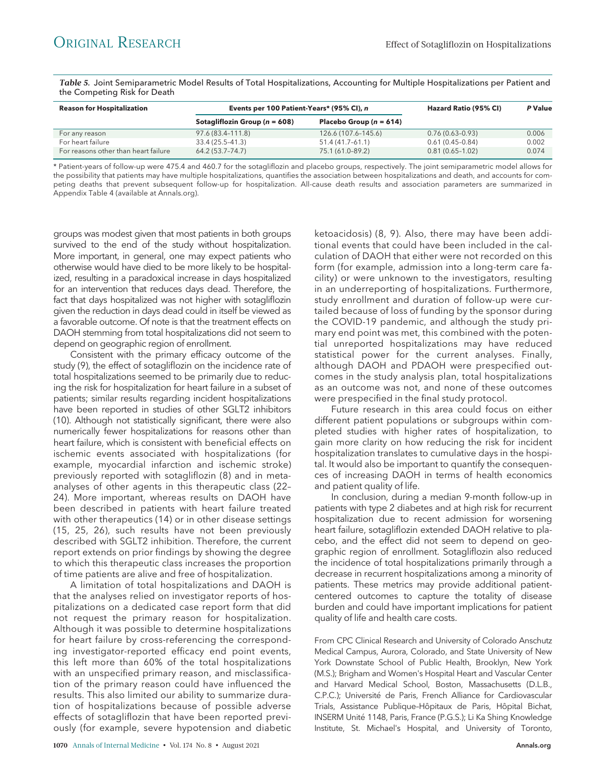Table 5. Joint Semiparametric Model Results of Total Hospitalizations, Accounting for Multiple Hospitalizations per Patient and the Competing Risk for Death

| <b>Reason for Hospitalization</b>    | Events per 100 Patient-Years* (95% CI), n |                             | Hazard Ratio (95% CI) | P Value |
|--------------------------------------|-------------------------------------------|-----------------------------|-----------------------|---------|
|                                      | Sotagliflozin Group ( $n = 608$ )         | Placebo Group ( $n = 614$ ) |                       |         |
| For any reason                       | 97.6 (83.4-111.8)                         | 126.6 (107.6-145.6)         | $0.76(0.63 - 0.93)$   | 0.006   |
| For heart failure                    | 33.4 (25.5–41.3)                          | 51.4 (41.7-61.1)            | $0.61(0.45-0.84)$     | 0.002   |
| For reasons other than heart failure | 64.2 (53.7–74.7)                          | 75.1 (61.0-89.2)            | $0.81(0.65 - 1.02)$   | 0.074   |

\* Patient-years of follow-up were 475.4 and 460.7 for the sotagliflozin and placebo groups, respectively. The joint semiparametric model allows for the possibility that patients may have multiple hospitalizations, quantifies the association between hospitalizations and death, and accounts for competing deaths that prevent subsequent follow-up for hospitalization. All-cause death results and association parameters are summarized in Appendix Table 4 (available at Annals.org).

groups was modest given that most patients in both groups survived to the end of the study without hospitalization. More important, in general, one may expect patients who otherwise would have died to be more likely to be hospitalized, resulting in a paradoxical increase in days hospitalized for an intervention that reduces days dead. Therefore, the fact that days hospitalized was not higher with sotagliflozin given the reduction in days dead could in itself be viewed as a favorable outcome. Of note is that the treatment effects on DAOH stemming from total hospitalizations did not seem to depend on geographic region of enrollment.

Consistent with the primary efficacy outcome of the study (9), the effect of sotagliflozin on the incidence rate of total hospitalizations seemed to be primarily due to reducing the risk for hospitalization for heart failure in a subset of patients; similar results regarding incident hospitalizations have been reported in studies of other SGLT2 inhibitors (10). Although not statistically significant, there were also numerically fewer hospitalizations for reasons other than heart failure, which is consistent with beneficial effects on ischemic events associated with hospitalizations (for example, myocardial infarction and ischemic stroke) previously reported with sotagliflozin (8) and in metaanalyses of other agents in this therapeutic class (22– 24). More important, whereas results on DAOH have been described in patients with heart failure treated with other therapeutics (14) or in other disease settings (15, 25, 26), such results have not been previously described with SGLT2 inhibition. Therefore, the current report extends on prior findings by showing the degree to which this therapeutic class increases the proportion of time patients are alive and free of hospitalization.

A limitation of total hospitalizations and DAOH is that the analyses relied on investigator reports of hospitalizations on a dedicated case report form that did not request the primary reason for hospitalization. Although it was possible to determine hospitalizations for heart failure by cross-referencing the corresponding investigator-reported efficacy end point events, this left more than 60% of the total hospitalizations with an unspecified primary reason, and misclassification of the primary reason could have influenced the results. This also limited our ability to summarize duration of hospitalizations because of possible adverse effects of sotagliflozin that have been reported previously (for example, severe hypotension and diabetic

1070 Annals of Internal Medicine • Vol. 174 No. 8 • August 2021 **Annals.org Annals.org Annals.org Annals.org** 

ketoacidosis) (8, 9). Also, there may have been additional events that could have been included in the calculation of DAOH that either were not recorded on this form (for example, admission into a long-term care facility) or were unknown to the investigators, resulting in an underreporting of hospitalizations. Furthermore, study enrollment and duration of follow-up were curtailed because of loss of funding by the sponsor during the COVID-19 pandemic, and although the study primary end point was met, this combined with the potential unreported hospitalizations may have reduced statistical power for the current analyses. Finally, although DAOH and PDAOH were prespecified outcomes in the study analysis plan, total hospitalizations as an outcome was not, and none of these outcomes were prespecified in the final study protocol.

Future research in this area could focus on either different patient populations or subgroups within completed studies with higher rates of hospitalization, to gain more clarity on how reducing the risk for incident hospitalization translates to cumulative days in the hospital. It would also be important to quantify the consequences of increasing DAOH in terms of health economics and patient quality of life.

In conclusion, during a median 9-month follow-up in patients with type 2 diabetes and at high risk for recurrent hospitalization due to recent admission for worsening heart failure, sotagliflozin extended DAOH relative to placebo, and the effect did not seem to depend on geographic region of enrollment. Sotagliflozin also reduced the incidence of total hospitalizations primarily through a decrease in recurrent hospitalizations among a minority of patients. These metrics may provide additional patientcentered outcomes to capture the totality of disease burden and could have important implications for patient quality of life and health care costs.

From CPC Clinical Research and University of Colorado Anschutz Medical Campus, Aurora, Colorado, and State University of New York Downstate School of Public Health, Brooklyn, New York (M.S.); Brigham and Women's Hospital Heart and Vascular Center and Harvard Medical School, Boston, Massachusetts (D.L.B., C.P.C.); Université de Paris, French Alliance for Cardiovascular Trials, Assistance Publique–Hôpitaux de Paris, Hôpital Bichat, INSERM Unite 1148, Paris, France (P.G.S.); Li Ka Shing Knowledge Institute, St. Michael's Hospital, and University of Toronto,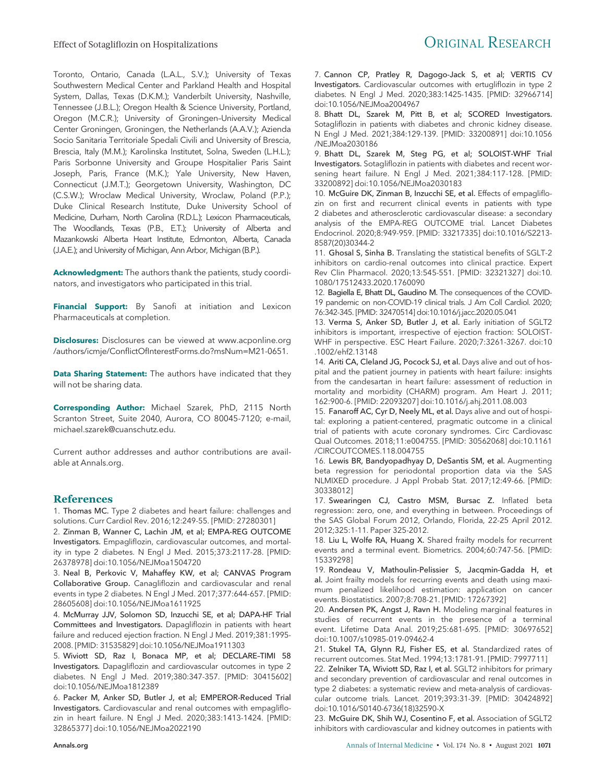Toronto, Ontario, Canada (L.A.L., S.V.); University of Texas Southwestern Medical Center and Parkland Health and Hospital System, Dallas, Texas (D.K.M.); Vanderbilt University, Nashville, Tennessee (J.B.L.); Oregon Health & Science University, Portland, Oregon (M.C.R.); University of Groningen–University Medical Center Groningen, Groningen, the Netherlands (A.A.V.); Azienda Socio Sanitaria Territoriale Spedali Civili and University of Brescia, Brescia, Italy (M.M.); Karolinska Institutet, Solna, Sweden (L.H.L.); Paris Sorbonne University and Groupe Hospitalier Paris Saint Joseph, Paris, France (M.K.); Yale University, New Haven, Connecticut (J.M.T.); Georgetown University, Washington, DC (C.S.W.); Wroclaw Medical University, Wroclaw, Poland (P.P.); Duke Clinical Research Institute, Duke University School of Medicine, Durham, North Carolina (R.D.L.); Lexicon Pharmaceuticals, The Woodlands, Texas (P.B., E.T.); University of Alberta and Mazankowski Alberta Heart Institute, Edmonton, Alberta, Canada (J.A.E.); and University of Michigan, Ann Arbor, Michigan (B.P.).

Acknowledgment: The authors thank the patients, study coordinators, and investigators who participated in this trial.

Financial Support: By Sanofi at initiation and Lexicon Pharmaceuticals at completion.

Disclosures: Disclosures can be viewed at www.acponline.org /authors/icmje/ConflictOfInterestForms.do?msNum=M21-0651.

Data Sharing Statement: The authors have indicated that they will not be sharing data.

Corresponding Author: Michael Szarek, PhD, 2115 North Scranton Street, Suite 2040, Aurora, CO 80045-7120; e-mail, michael.szarek@cuanschutz.edu.

Current author addresses and author contributions are available at Annals.org.

#### References

1. Thomas MC. Type 2 diabetes and heart failure: challenges and solutions. Curr Cardiol Rev. 2016;12:249-55. [PMID: 27280301]

2. Zinman B, Wanner C, Lachin JM, et al; EMPA-REG OUTCOME Investigators. Empagliflozin, cardiovascular outcomes, and mortality in type 2 diabetes. N Engl J Med. 2015;373:2117-28. [PMID: 26378978] doi:10.1056/NEJMoa1504720

3. Neal B, Perkovic V, Mahaffey KW, et al; CANVAS Program Collaborative Group. Canagliflozin and cardiovascular and renal events in type 2 diabetes. N Engl J Med. 2017;377:644-657. [PMID: 28605608] doi:10.1056/NEJMoa1611925

4. McMurray JJV, Solomon SD, Inzucchi SE, et al; DAPA-HF Trial Committees and Investigators. Dapagliflozin in patients with heart failure and reduced ejection fraction. N Engl J Med. 2019;381:1995- 2008. [PMID: 31535829] doi:10.1056/NEJMoa1911303

5. Wiviott SD, Raz I, Bonaca MP, et al; DECLARE–TIMI 58 Investigators. Dapagliflozin and cardiovascular outcomes in type 2 diabetes. N Engl J Med. 2019;380:347-357. [PMID: 30415602] doi:10.1056/NEJMoa1812389

6. Packer M, Anker SD, Butler J, et al; EMPEROR-Reduced Trial Investigators. Cardiovascular and renal outcomes with empagliflozin in heart failure. N Engl J Med. 2020;383:1413-1424. [PMID: 32865377] doi:10.1056/NEJMoa2022190

7. Cannon CP, Pratley R, Dagogo-Jack S, et al; VERTIS CV Investigators. Cardiovascular outcomes with ertugliflozin in type 2 diabetes. N Engl J Med. 2020;383:1425-1435. [PMID: 32966714] doi:10.1056/NEJMoa2004967

8. Bhatt DL, Szarek M, Pitt B, et al; SCORED Investigators. Sotagliflozin in patients with diabetes and chronic kidney disease. N Engl J Med. 2021;384:129-139. [PMID: 33200891] doi:10.1056 /NEJMoa2030186

9. Bhatt DL, Szarek M, Steg PG, et al; SOLOIST-WHF Trial Investigators. Sotagliflozin in patients with diabetes and recent worsening heart failure. N Engl J Med. 2021;384:117-128. [PMID: 33200892] doi:10.1056/NEJMoa2030183

10. McGuire DK, Zinman B, Inzucchi SE, et al. Effects of empagliflozin on first and recurrent clinical events in patients with type 2 diabetes and atherosclerotic cardiovascular disease: a secondary analysis of the EMPA-REG OUTCOME trial. Lancet Diabetes Endocrinol. 2020;8:949-959. [PMID: 33217335] doi:10.1016/S2213- 8587(20)30344-2

11. Ghosal S, Sinha B. Translating the statistical benefits of SGLT-2 inhibitors on cardio-renal outcomes into clinical practice. Expert Rev Clin Pharmacol. 2020;13:545-551. [PMID: 32321327] doi:10. 1080/17512433.2020.1760090

12. Bagiella E, Bhatt DL, Gaudino M. The consequences of the COVID-19 pandemic on non-COVID-19 clinical trials. J Am Coll Cardiol. 2020; 76:342-345. [PMID: 32470514] doi:10.1016/j.jacc.2020.05.041

13. Verma S, Anker SD, Butler J, et al. Early initiation of SGLT2 inhibitors is important, irrespective of ejection fraction: SOLOIST-WHF in perspective. ESC Heart Failure. 2020;7:3261-3267. doi:10 .1002/ehf2.13148

14. Ariti CA, Cleland JG, Pocock SJ, et al. Days alive and out of hospital and the patient journey in patients with heart failure: insights from the candesartan in heart failure: assessment of reduction in mortality and morbidity (CHARM) program. Am Heart J. 2011; 162:900-6. [PMID: 22093207] doi:10.1016/j.ahj.2011.08.003

15. Fanaroff AC, Cyr D, Neely ML, et al. Days alive and out of hospital: exploring a patient-centered, pragmatic outcome in a clinical trial of patients with acute coronary syndromes. Circ Cardiovasc Qual Outcomes. 2018;11:e004755. [PMID: 30562068] doi:10.1161 /CIRCOUTCOMES.118.004755

16. Lewis BR, Bandyopadhyay D, DeSantis SM, et al. Augmenting beta regression for periodontal proportion data via the SAS NLMIXED procedure. J Appl Probab Stat. 2017;12:49-66. [PMID: 30338012]

17. Swearingen CJ, Castro MSM, Bursac Z. Inflated beta regression: zero, one, and everything in between. Proceedings of the SAS Global Forum 2012, Orlando, Florida, 22-25 April 2012. 2012;325:1-11. Paper 325-2012.

18. Liu L, Wolfe RA, Huang X. Shared frailty models for recurrent events and a terminal event. Biometrics. 2004;60:747-56. [PMID: 15339298]

19. Rondeau V, Mathoulin-Pelissier S, Jacqmin-Gadda H, et al. Joint frailty models for recurring events and death using maximum penalized likelihood estimation: application on cancer events. Biostatistics. 2007;8:708-21. [PMID: 17267392]

20. Andersen PK, Angst J, Ravn H. Modeling marginal features in studies of recurrent events in the presence of a terminal event. Lifetime Data Anal. 2019;25:681-695. [PMID: 30697652] doi:10.1007/s10985-019-09462-4

21. Stukel TA, Glynn RJ, Fisher ES, et al. Standardized rates of recurrent outcomes. Stat Med. 1994;13:1781-91. [PMID: 7997711]

22. Zelniker TA, Wiviott SD, Raz I, et al. SGLT2 inhibitors for primary and secondary prevention of cardiovascular and renal outcomes in type 2 diabetes: a systematic review and meta-analysis of cardiovascular outcome trials. Lancet. 2019;393:31-39. [PMID: 30424892] doi:10.1016/S0140-6736(18)32590-X

23. McGuire DK, Shih WJ, Cosentino F, et al. Association of SGLT2 inhibitors with cardiovascular and kidney outcomes in patients with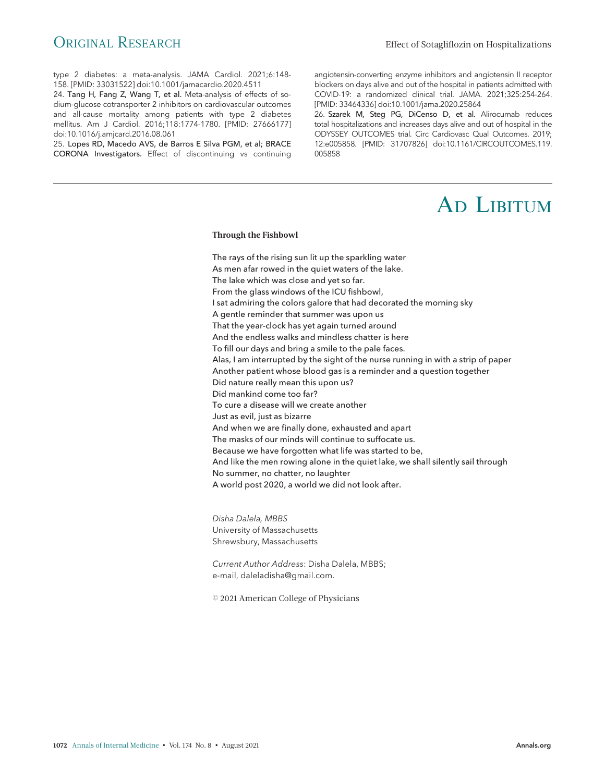type 2 diabetes: a meta-analysis. JAMA Cardiol. 2021;6:148- 158. [PMID: 33031522] doi:10.1001/jamacardio.2020.4511

24. Tang H, Fang Z, Wang T, et al. Meta-analysis of effects of sodium-glucose cotransporter 2 inhibitors on cardiovascular outcomes and all-cause mortality among patients with type 2 diabetes mellitus. Am J Cardiol. 2016;118:1774-1780. [PMID: 27666177] doi:10.1016/j.amjcard.2016.08.061

25. Lopes RD, Macedo AVS, de Barros E Silva PGM, et al; BRACE CORONA Investigators. Effect of discontinuing vs continuing angiotensin-converting enzyme inhibitors and angiotensin II receptor blockers on days alive and out of the hospital in patients admitted with COVID-19: a randomized clinical trial. JAMA. 2021;325:254-264. [PMID: 33464336] doi:10.1001/jama.2020.25864

26. Szarek M, Steg PG, DiCenso D, et al. Alirocumab reduces total hospitalizations and increases days alive and out of hospital in the ODYSSEY OUTCOMES trial. Circ Cardiovasc Qual Outcomes. 2019; 12:e005858. [PMID: 31707826] doi:10.1161/CIRCOUTCOMES.119. 005858

# AD LIBITUM

### $\mathcal{L}_{\mathcal{B}}$

The rays of the rising sun lit up the sparkling water As men afar rowed in the quiet waters of the lake. The lake which was close and yet so far. From the glass windows of the ICU fishbowl, I sat admiring the colors galore that had decorated the morning sky A gentle reminder that summer was upon us That the year-clock has yet again turned around And the endless walks and mindless chatter is here To fill our days and bring a smile to the pale faces. Alas, I am interrupted by the sight of the nurse running in with a strip of paper Another patient whose blood gas is a reminder and a question together Did nature really mean this upon us? Did mankind come too far? To cure a disease will we create another Just as evil, just as bizarre And when we are finally done, exhausted and apart The masks of our minds will continue to suffocate us. Because we have forgotten what life was started to be, And like the men rowing alone in the quiet lake, we shall silently sail through No summer, no chatter, no laughter A world post 2020, a world we did not look after.

Disha Dalela, MBBS University of Massachusetts Shrewsbury, Massachusetts

Current Author Address: Disha Dalela, MBBS; e-mail, daleladisha@gmail.com.

© 2021 American College of Physicians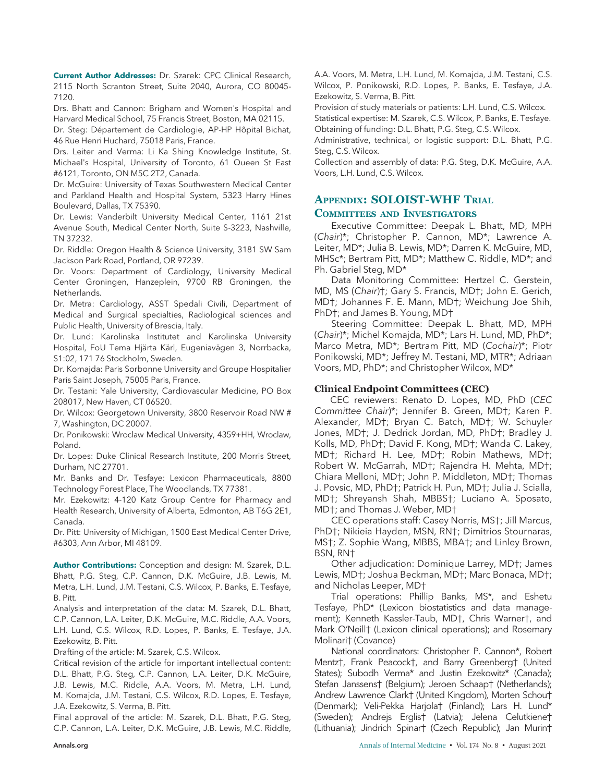Current Author Addresses: Dr. Szarek: CPC Clinical Research, 2115 North Scranton Street, Suite 2040, Aurora, CO 80045- 7120.

Drs. Bhatt and Cannon: Brigham and Women's Hospital and Harvard Medical School, 75 Francis Street, Boston, MA 02115.

Dr. Steg: Département de Cardiologie, AP-HP Hôpital Bichat, 46 Rue Henri Huchard, 75018 Paris, France.

Drs. Leiter and Verma: Li Ka Shing Knowledge Institute, St. Michael's Hospital, University of Toronto, 61 Queen St East #6121, Toronto, ON M5C 2T2, Canada.

Dr. McGuire: University of Texas Southwestern Medical Center and Parkland Health and Hospital System, 5323 Harry Hines Boulevard, Dallas, TX 75390.

Dr. Lewis: Vanderbilt University Medical Center, 1161 21st Avenue South, Medical Center North, Suite S-3223, Nashville, TN 37232.

Dr. Riddle: Oregon Health & Science University, 3181 SW Sam Jackson Park Road, Portland, OR 97239.

Dr. Voors: Department of Cardiology, University Medical Center Groningen, Hanzeplein, 9700 RB Groningen, the Netherlands.

Dr. Metra: Cardiology, ASST Spedali Civili, Department of Medical and Surgical specialties, Radiological sciences and Public Health, University of Brescia, Italy.

Dr. Lund: Karolinska Institutet and Karolinska University Hospital, FoU Tema Hjärta Kärl, Eugeniavägen 3, Norrbacka, S1:02, 171 76 Stockholm, Sweden.

Dr. Komajda: Paris Sorbonne University and Groupe Hospitalier Paris Saint Joseph, 75005 Paris, France.

Dr. Testani: Yale University, Cardiovascular Medicine, PO Box 208017, New Haven, CT 06520.

Dr. Wilcox: Georgetown University, 3800 Reservoir Road NW # 7, Washington, DC 20007.

Dr. Ponikowski: Wroclaw Medical University, 4359+HH, Wroclaw, Poland.

Dr. Lopes: Duke Clinical Research Institute, 200 Morris Street, Durham, NC 27701.

Mr. Banks and Dr. Tesfaye: Lexicon Pharmaceuticals, 8800 Technology Forest Place, The Woodlands, TX 77381.

Mr. Ezekowitz: 4-120 Katz Group Centre for Pharmacy and Health Research, University of Alberta, Edmonton, AB T6G 2E1, Canada.

Dr. Pitt: University of Michigan, 1500 East Medical Center Drive, #6303, Ann Arbor, MI 48109.

Author Contributions: Conception and design: M. Szarek, D.L. Bhatt, P.G. Steg, C.P. Cannon, D.K. McGuire, J.B. Lewis, M. Metra, L.H. Lund, J.M. Testani, C.S. Wilcox, P. Banks, E. Tesfaye, B. Pitt.

Analysis and interpretation of the data: M. Szarek, D.L. Bhatt, C.P. Cannon, L.A. Leiter, D.K. McGuire, M.C. Riddle, A.A. Voors, L.H. Lund, C.S. Wilcox, R.D. Lopes, P. Banks, E. Tesfaye, J.A. Ezekowitz, B. Pitt.

Drafting of the article: M. Szarek, C.S. Wilcox.

Critical revision of the article for important intellectual content: D.L. Bhatt, P.G. Steg, C.P. Cannon, L.A. Leiter, D.K. McGuire, J.B. Lewis, M.C. Riddle, A.A. Voors, M. Metra, L.H. Lund, M. Komajda, J.M. Testani, C.S. Wilcox, R.D. Lopes, E. Tesfaye, J.A. Ezekowitz, S. Verma, B. Pitt.

Final approval of the article: M. Szarek, D.L. Bhatt, P.G. Steg, C.P. Cannon, L.A. Leiter, D.K. McGuire, J.B. Lewis, M.C. Riddle, A.A. Voors, M. Metra, L.H. Lund, M. Komajda, J.M. Testani, C.S. Wilcox, P. Ponikowski, R.D. Lopes, P. Banks, E. Tesfaye, J.A. Ezekowitz, S. Verma, B. Pitt.

Provision of study materials or patients: L.H. Lund, C.S. Wilcox. Statistical expertise: M. Szarek, C.S. Wilcox, P. Banks, E. Tesfaye. Obtaining of funding: D.L. Bhatt, P.G. Steg, C.S. Wilcox.

Administrative, technical, or logistic support: D.L. Bhatt, P.G. Steg, C.S. Wilcox.

Collection and assembly of data: P.G. Steg, D.K. McGuire, A.A. Voors, L.H. Lund, C.S. Wilcox.

#### APPENDIX: SOLOIST-WHF TRIAL COMMITTEES AND INVESTIGATORS

Executive Committee: Deepak L. Bhatt, MD, MPH (Chair)\*; Christopher P. Cannon, MD\*; Lawrence A. Leiter, MD\*; Julia B. Lewis, MD\*; Darren K. McGuire, MD, MHSc\*; Bertram Pitt, MD\*; Matthew C. Riddle, MD\*; and

Ph. Gabriel Steg, MD\* Data Monitoring Committee: Hertzel C. Gerstein, MD, MS (Chair)†; Gary S. Francis, MD†; John E. Gerich, MD†; Johannes F. E. Mann, MD†; Weichung Joe Shih,

PhD†; and James B. Young, MD† Steering Committee: Deepak L. Bhatt, MD, MPH (Chair)\*; Michel Komajda, MD\*; Lars H. Lund, MD, PhD\*; Marco Metra, MD\*; Bertram Pitt, MD (Cochair)\*; Piotr Ponikowski, MD\*; Jeffrey M. Testani, MD, MTR\*; Adriaan Voors, MD, PhD\*; and Christopher Wilcox, MD\*

#### Clinical Endpoint Committees (CEC)

CEC reviewers: Renato D. Lopes, MD, PhD (CEC Committee Chair)\*; Jennifer B. Green, MD†; Karen P. Alexander, MD†; Bryan C. Batch, MD†; W. Schuyler Jones, MD†; J. Dedrick Jordan, MD, PhD†; Bradley J. Kolls, MD, PhD†; David F. Kong, MD†; Wanda C. Lakey, MD†; Richard H. Lee, MD†; Robin Mathews, MD†; Robert W. McGarrah, MD†; Rajendra H. Mehta, MD†; Chiara Melloni, MD†; John P. Middleton, MD†; Thomas J. Povsic, MD, PhD†; Patrick H. Pun, MD†; Julia J. Scialla, MD†; Shreyansh Shah, MBBS†; Luciano A. Sposato, MD†; and Thomas J. Weber, MD†

CEC operations staff: Casey Norris, MS†; Jill Marcus, PhD†; Nikieia Hayden, MSN, RN†; Dimitrios Stournaras, MS†; Z. Sophie Wang, MBBS, MBA†; and Linley Brown, BSN, RN†

Other adjudication: Dominique Larrey, MD†; James Lewis, MD†; Joshua Beckman, MD†; Marc Bonaca, MD†; and Nicholas Leeper, MD†

Trial operations: Phillip Banks, MS\*, and Eshetu Tesfaye, PhD\* (Lexicon biostatistics and data management); Kenneth Kassler-Taub, MD†, Chris Warner†, and Mark O'Neill† (Lexicon clinical operations); and Rosemary Molinari† (Covance)

National coordinators: Christopher P. Cannon\*, Robert Mentz†, Frank Peacock†, and Barry Greenberg† (United States); Subodh Verma\* and Justin Ezekowitz\* (Canada); Stefan Janssens† (Belgium); Jeroen Schaap† (Netherlands); Andrew Lawrence Clark† (United Kingdom), Morten Schou† (Denmark); Veli-Pekka Harjola† (Finland); Lars H. Lund\* (Sweden); Andrejs Erglis† (Latvia); Jelena Celutkiene† (Lithuania); Jindrich Spinar† (Czech Republic); Jan Murin†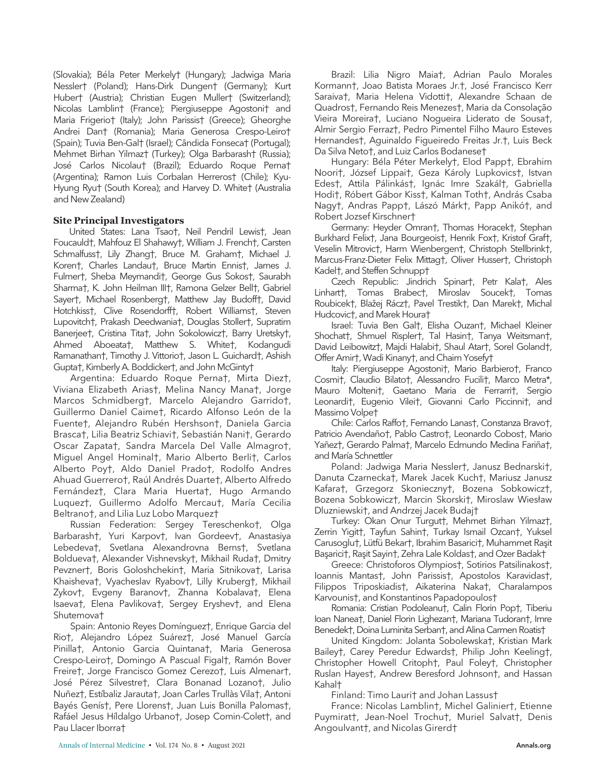(Slovakia); Béla Peter Merkely† (Hungary); Jadwiga Maria Nessler† (Poland); Hans-Dirk Dungen† (Germany); Kurt Huber† (Austria); Christian Eugen Muller† (Switzerland); Nicolas Lamblin† (France); Piergiuseppe Agostoni† and Maria Frigerio† (Italy); John Parissis† (Greece); Gheorghe Andrei Dan† (Romania); Maria Generosa Crespo-Leiro† (Spain); Tuvia Ben-Gal† (Israel); Cândida Fonseca† (Portugal); Mehmet Birhan Yilmaz† (Turkey); Olga Barbarash† (Russia); José Carlos Nicolau† (Brazil); Eduardo Roque Perna† (Argentina); Ramon Luis Corbalan Herreros† (Chile); Kyu-Hyung Ryu† (South Korea); and Harvey D. White† (Australia and New Zealand)

#### Site Principal Investigators

United States: Lana Tsao†, Neil Pendril Lewis†, Jean Foucauld†, Mahfouz El Shahawy†, William J. French†, Carsten Schmalfuss†, Lily Zhang†, Bruce M. Graham†, Michael J. Koren†, Charles Landau†, Bruce Martin Ennis†, James J. Fulmer†, Sheba Meymandi†, George Gus Sokos†, Saurabh Sharma†, K. John Heilman III†, Ramona Gelzer Bell†, Gabriel Sayer†, Michael Rosenberg†, Matthew Jay Budoff†, David Hotchkiss†, Clive Rosendorff†, Robert Williams†, Steven Lupovitch†, Prakash Deedwania†, Douglas Stoller†, Supratim Banerjee†, Cristina Tita†, John Sokolowicz†, Barry Uretsky†, Ahmed Aboeata†, Matthew S. White†, Kodangudi Ramanathan†, Timothy J. Vittorio†, Jason L. Guichard†, Ashish Gupta†, Kimberly A. Boddicker†, and John McGinty†

Argentina: Eduardo Roque Perna†, Mirta Diez†, Viviana Elizabeth Arias†, Melina Nancy Mana†, Jorge Marcos Schmidberg†, Marcelo Alejandro Garrido†, Guillermo Daniel Caime†, Ricardo Alfonso León de la Fuente†, Alejandro Rubén Hershson†, Daniela Garcia Brasca†, Lilia Beatriz Schiavi†, Sebastián Nani†, Gerardo Oscar Zapata†, Sandra Marcela Del Valle Almagro†, Miguel Angel Hominal†, Mario Alberto Berli†, Carlos Alberto Poy†, Aldo Daniel Prado†, Rodolfo Andres Ahuad Guerrero†, Raúl Andrés Duarte†, Alberto Alfredo Fernández†, Clara Maria Huerta†, Hugo Armando Luquez†, Guillermo Adolfo Mercau†, María Cecilia Beltrano†, and Lilia Luz Lobo Marquez†

Russian Federation: Sergey Tereschenko†, Olga Barbarash†, Yuri Karpov†, Ivan Gordeev†, Anastasiya Lebedeva†, Svetlana Alexandrovna Berns†, Svetlana Boldueva†, Alexander Vishnevsky†, Mikhail Ruda†, Dmitry Pevzner†, Boris Goloshchekin†, Maria Sitnikova†, Larisa Khaisheva†, Vyacheslav Ryabov†, Lilly Kruberg†, Mikhail Zykov†, Evgeny Baranov†, Zhanna Kobalava†, Elena Isaeva†, Elena Pavlikova†, Sergey Eryshev†, and Elena Shutemova†

Spain: Antonio Reyes Domínguez†, Enrique Garcia del Rio†, Alejandro López Suárez†, Jose Manuel García Pinilla†, Antonio Garcia Quintana†, Maria Generosa Crespo-Leiro†, Domingo A Pascual Figal†, Ramón Bover Freire†, Jorge Francisco Gomez Cerezo†, Luis Almenar†, José Pérez Silvestre†, Clara Bonanad Lozano†, Julio Nuñez†, Estíbaliz Jarauta†, Joan Carles Trullàs Vila†, Antoni Bayés Genís†, Pere Llorens†, Juan Luis Bonilla Palomas†, Rafáel Jesus Híldalgo Urbano†, Josep Comin-Colet†, and Pau Llacer Iborra†

Brazil: Lilia Nigro Maia†, Adrian Paulo Morales Kormann†, Joao Batista Moraes Jr.†, José Francisco Kerr Saraiva†, Maria Helena Vidotti†, Alexandre Schaan de Quadros†, Fernando Reis Menezes†, Maria da Consolação Vieira Moreira†, Luciano Nogueira Liderato de Sousa†, Almir Sergio Ferraz†, Pedro Pimentel Filho Mauro Esteves Hernandes†, Aguinaldo Figueiredo Freitas Jr.†, Luis Beck Da Silva Neto†, and Luiz Carlos Bodanese†

Hungary: Béla Péter Merkely†, Elod Papp†, Ebrahim Noori†, József Lippai†, Geza Károly Lupkovics†, Istvan Edes†, Attila Pálinkás†, Ignác Imre Szakál†, Gabriella Hodi†, Róbert Gábor Kiss†, Kalman Toth†, András Csaba Nagy†, Andras Papp†, Lászó Márk†, Papp Anikó†, and Robert Jozsef Kirschner†

Germany: Heyder Omran†, Thomas Horacek†, Stephan Burkhard Felix†, Jana Bourgeois†, Henrik Fox†, Kristof Graf†, Veselin Mitrovic†, Harm Wienbergen†, Christoph Stellbrink†, Marcus-Franz-Dieter Felix Mittag†, Oliver Husser†, Christoph Kadel†, and Steffen Schnupp†

Czech Republic: Jindrich Spinar†, Petr Kala†, Ales Linhart†, Tomas Brabec†, Miroslav Soucek†, Tomas Roubicek†, Blažej Rácz†, Pavel Trestik†, Dan Marek†, Michal Hudcovic†, and Marek Houra†

Israel: Tuvia Ben Gal†, Elisha Ouzan†, Michael Kleiner Shochat†, Shmuel Rispler†, Tal Hasin†, Tanya Weitsman†, David Leibowitz†, Majdi Halabi†, Shaul Atar†, Sorel Goland†, Offer Amir†, Wadi Kinany†, and Chaim Yosefy†

Italy: Piergiuseppe Agostoni†, Mario Barbiero†, Franco Cosmi†, Claudio Bilato†, Alessandro Fucili†, Marco Metra\*, Mauro Molteni†, Gaetano Maria de Ferrarri†, Sergio Leonardi†, Eugenio Vilei†, Giovanni Carlo Piccinni†, and Massimo Volpe†

Chile: Carlos Raffo†, Fernando Lanas†, Constanza Bravo†, Patricio Avendaño†, Pablo Castro†, Leonardo Cobos†, Mario Yañez†, Gerardo Palma†, Marcelo Edmundo Medina Fariña†, and María Schnettler

Poland: Jadwiga Maria Nessler†, Janusz Bednarski†, Danuta Czarnecka†, Marek Jacek Kuch†, Mariusz Janusz Kafara†, Grzegorz Skonieczny†, Bozena Sobkowicz†, Bozena Sobkowicz†, Marcin Skorski†, Miroslaw Wiesław Dluzniewski†, and Andrzej Jacek Budaj†

Turkey: Okan Onur Turgut†, Mehmet Birhan Yilmaz†, Zerrin Yigit†, Tayfun Sahin†, Turkay Ismail Ozcan†, Yuksel Carusoglu†, Lütfü Bekar†, Ibrahim Basarici†, Muhammet Raşit Başarici†, Raşit Sayin†, Zehra Lale Koldas†, and Ozer Badak†

Greece: Christoforos Olympios†, Sotirios Patsilinakos†, Ioannis Mantas†, John Parissis†, Apostolos Karavidas†, Filippos Triposkiadis†, Aikaterina Naka†, Charalampos Karvounis†, and Konstantinos Papadopoulos†

Romania: Cristian Podoleanu†, Calin Florin Pop†, Tiberiu Ioan Nanea†, Daniel Florin Lighezan†, Mariana Tudoran†, Imre Benedek†, Doina Luminita Serban†, and Alina Carmen Roatis†

United Kingdom: Jolanta Sobolewska†, Kristian Mark Bailey†, Carey Peredur Edwards†, Philip John Keeling†, Christopher Howell Critoph†, Paul Foley†, Christopher Ruslan Hayes†, Andrew Beresford Johnson†, and Hassan Kahal†

Finland: Timo Lauri† and Johan Lassus†

France: Nicolas Lamblin†, Michel Galinier†, Etienne Puymirat†, Jean-Noel Trochu†, Muriel Salvat†, Denis Angoulvant†, and Nicolas Girerd†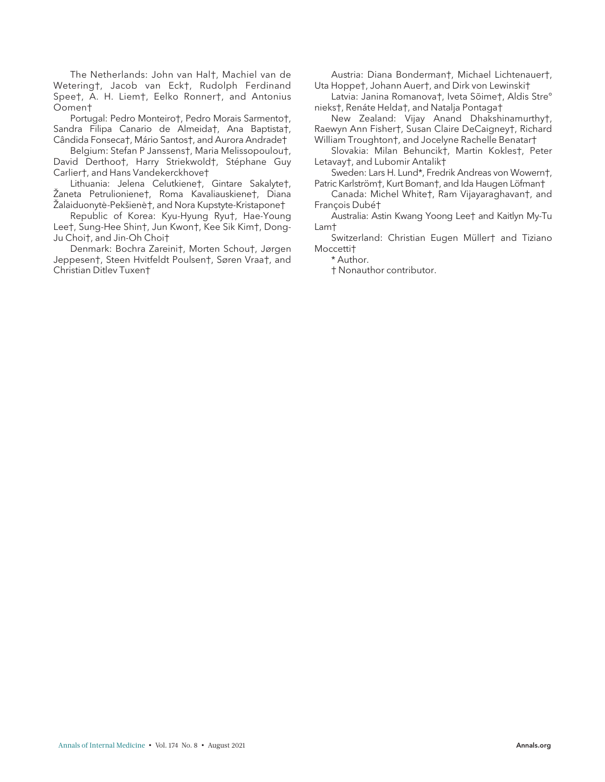The Netherlands: John van Hal†, Machiel van de Wetering†, Jacob van Eck†, Rudolph Ferdinand Spee†, A. H. Liem†, Eelko Ronner†, and Antonius Oomen†

Portugal: Pedro Monteiro†, Pedro Morais Sarmento†, Sandra Filipa Canario de Almeida†, Ana Baptista†, Cândida Fonseca†, Mário Santos†, and Aurora Andrade†

Belgium: Stefan P Janssens†, Maria Melissopoulou†, David Derthoo†, Harry Striekwold†, Stéphane Guy Carlier†, and Hans Vandekerckhove†

Lithuania: Jelena Celutkiene†, Gintare Sakalyte†, Žaneta Petrulioniene†, Roma Kavaliauskiene†, Diana Žalaiduonytė-Pekšienė†, and Nora Kupstyte-Kristapone†

Republic of Korea: Kyu-Hyung Ryu†, Hae-Young Lee†, Sung-Hee Shin†, Jun Kwon†, Kee Sik Kim†, Dong-Ju Choi†, and Jin-Oh Choi†

Denmark: Bochra Zareini†, Morten Schou†, Jørgen Jeppesen†, Steen Hvitfeldt Poulsen†, Søren Vraa†, and Christian Ditlev Tuxen†

Austria: Diana Bonderman†, Michael Lichtenauer†, Uta Hoppe†, Johann Auer†, and Dirk von Lewinski†

Latvia: Janina Romanova†, Iveta Sõime†, Aldis Stre° nieks†, Renáte Helda†, and Natalja Pontaga†

New Zealand: Vijay Anand Dhakshinamurthy†, Raewyn Ann Fisher†, Susan Claire DeCaigney†, Richard William Troughton†, and Jocelyne Rachelle Benatar†

Slovakia: Milan Behuncik†, Martin Kokles†, Peter Letavay†, and Lubomir Antalik†

Sweden: Lars H. Lund\*, Fredrik Andreas von Wowern†, Patric Karlström†, Kurt Boman†, and Ida Haugen Löfman†

Canada: Michel White†, Ram Vijayaraghavan†, and François Dubét

Australia: Astin Kwang Yoong Lee† and Kaitlyn My-Tu Lam†

Switzerland: Christian Eugen Müller† and Tiziano Moccetti†

\* Author.

† Nonauthor contributor.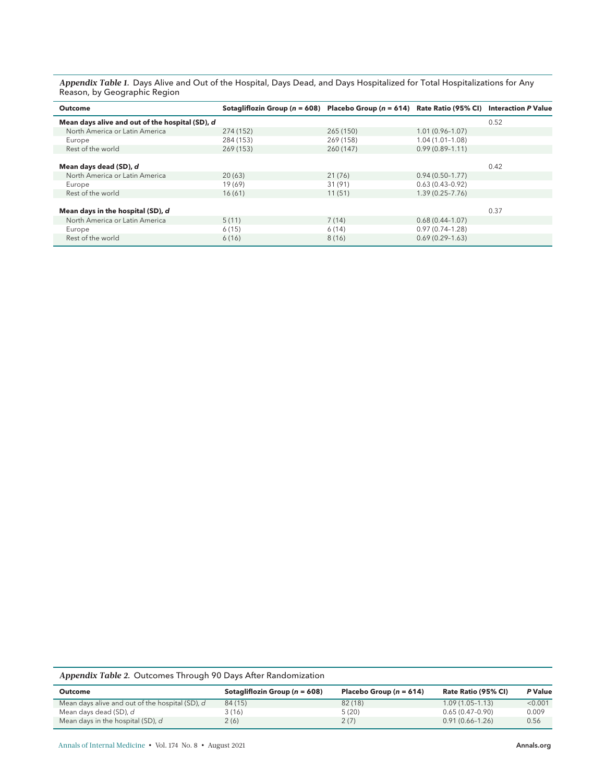A**ppendix Table 1.** Days Alive and Out of the Hospital, Days Dead, and Days Hospitalized for Total Hospitalizations for Any Reason, by Geographic Region

| <b>Outcome</b>                                  | Sotagliflozin Group ( $n = 608$ ) Placebo Group ( $n = 614$ ) Rate Ratio (95% CI) Interaction P Value |           |                     |      |
|-------------------------------------------------|-------------------------------------------------------------------------------------------------------|-----------|---------------------|------|
| Mean days alive and out of the hospital (SD), d |                                                                                                       |           |                     | 0.52 |
| North America or Latin America                  | 274 (152)                                                                                             | 265 (150) | $1.01(0.96 - 1.07)$ |      |
| Europe                                          | 284 (153)                                                                                             | 269 (158) | $1.04(1.01 - 1.08)$ |      |
| Rest of the world                               | 269 (153)                                                                                             | 260 (147) | $0.99(0.89 - 1.11)$ |      |
|                                                 |                                                                                                       |           |                     |      |
| Mean days dead (SD), d                          |                                                                                                       |           |                     | 0.42 |
| North America or Latin America                  | 20(63)                                                                                                | 21(76)    | $0.94(0.50-1.77)$   |      |
| Europe                                          | 19 (69)                                                                                               | 31 (91)   | $0.63(0.43 - 0.92)$ |      |
| Rest of the world                               | 16(61)                                                                                                | 11(51)    | $1.39(0.25 - 7.76)$ |      |
|                                                 |                                                                                                       |           |                     |      |
| Mean days in the hospital (SD), d               |                                                                                                       |           |                     | 0.37 |
| North America or Latin America                  | 5(11)                                                                                                 | 7(14)     | $0.68(0.44-1.07)$   |      |
| Europe                                          | 6(15)                                                                                                 | 6(14)     | $0.97(0.74 - 1.28)$ |      |
| Rest of the world                               | 6(16)                                                                                                 | 8(16)     | $0.69(0.29 - 1.63)$ |      |

Appendix Table 2. Outcomes Through 90 Days After Randomization

| Outcome                                         | Sotagliflozin Group ( $n = 608$ ) | Placebo Group $(n = 614)$ | Rate Ratio (95% CI) | P Value |
|-------------------------------------------------|-----------------------------------|---------------------------|---------------------|---------|
| Mean days alive and out of the hospital (SD), d | 84 (15)                           | 82(18)                    | $1.09(1.05 - 1.13)$ | < 0.001 |
| Mean days dead (SD), <i>d</i>                   | 3(16)                             | 5(20)                     | $0.65(0.47-0.90)$   | 0.009   |
| Mean days in the hospital (SD), d               | 2(6)                              | 2(7)                      | $0.91(0.66 - 1.26)$ | 0.56    |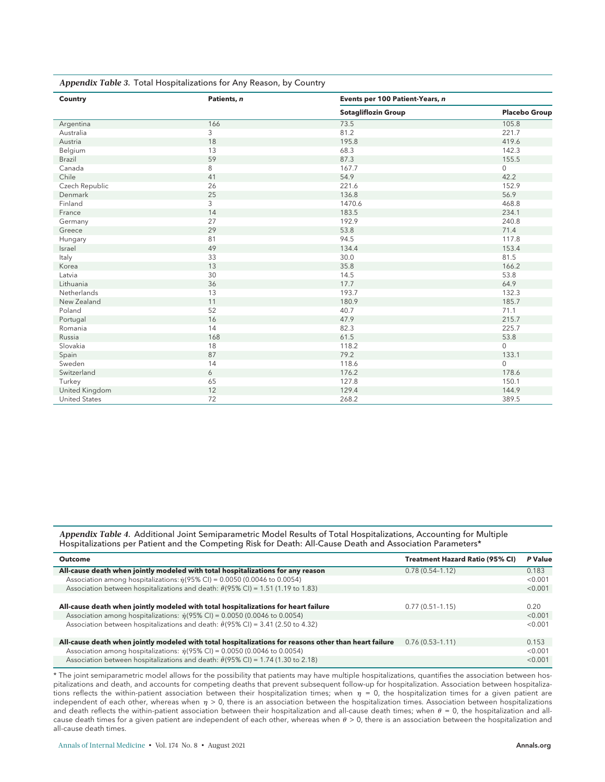| <b>Country</b>       | Patients, n    | Events per 100 Patient-Years, n |                      |  |
|----------------------|----------------|---------------------------------|----------------------|--|
|                      |                | <b>Sotagliflozin Group</b>      | <b>Placebo Group</b> |  |
| Argentina            | 166            | 73.5                            | 105.8                |  |
| Australia            | 3              | 81.2                            | 221.7                |  |
| Austria              | 18             | 195.8                           | 419.6                |  |
| Belgium              | 13             | 68.3                            | 142.3                |  |
| Brazil               | 59             | 87.3                            | 155.5                |  |
| Canada               | 8              | 167.7                           | $\mathbf 0$          |  |
| Chile                | 41             | 54.9                            | 42.2                 |  |
| Czech Republic       | 26             | 221.6                           | 152.9                |  |
| Denmark              | 25             | 136.8                           | 56.9                 |  |
| Finland              | $\overline{3}$ | 1470.6                          | 468.8                |  |
| France               | 14             | 183.5                           | 234.1                |  |
| Germany              | 27             | 192.9                           | 240.8                |  |
| Greece               | 29             | 53.8                            | 71.4                 |  |
| Hungary              | 81             | 94.5                            | 117.8                |  |
| Israel               | 49             | 134.4                           | 153.4                |  |
| Italy                | 33             | 30.0                            | 81.5                 |  |
| Korea                | 13             | 35.8                            | 166.2                |  |
| Latvia               | 30             | 14.5                            | 53.8                 |  |
| Lithuania            | 36             | 17.7                            | 64.9                 |  |
| Netherlands          | 13             | 193.7                           | 132.3                |  |
| New Zealand          | 11             | 180.9                           | 185.7                |  |
| Poland               | 52             | 40.7                            | 71.1                 |  |
| Portugal             | 16             | 47.9                            | 215.7                |  |
| Romania              | 14             | 82.3                            | 225.7                |  |
| Russia               | 168            | 61.5                            | 53.8                 |  |
| Slovakia             | 18             | 118.2                           | $\mathbf 0$          |  |
| Spain                | 87             | 79.2                            | 133.1                |  |
| Sweden               | 14             | 118.6                           | $\mathbf 0$          |  |
| Switzerland          | 6              | 176.2                           | 178.6                |  |
| Turkey               | 65             | 127.8                           | 150.1                |  |
| United Kingdom       | 12             | 129.4                           | 144.9                |  |
| <b>United States</b> | 72             | 268.2                           | 389.5                |  |

Appendix Table 3. Total Hospitalizations for Any Reason, by Country

Appendix Table 4. Additional Joint Semiparametric Model Results of Total Hospitalizations, Accounting for Multiple Hospitalizations per Patient and the Competing Risk for Death: All-Cause Death and Association Parameters\*

| <b>Outcome</b>                                                                                         | <b>Treatment Hazard Ratio (95% CI)</b> | P Value |
|--------------------------------------------------------------------------------------------------------|----------------------------------------|---------|
| All-cause death when jointly modeled with total hospitalizations for any reason                        | $0.78(0.54 - 1.12)$                    | 0.183   |
| Association among hospitalizations: $\hat{\eta}$ (95% CI) = 0.0050 (0.0046 to 0.0054)                  |                                        | < 0.001 |
| Association between hospitalizations and death: $\hat{\theta}$ (95% CI) = 1.51 (1.19 to 1.83)          |                                        | < 0.001 |
|                                                                                                        |                                        |         |
| All-cause death when jointly modeled with total hospitalizations for heart failure                     | $0.77(0.51 - 1.15)$                    | 0.20    |
| Association among hospitalizations: $\hat{\eta}(95\% \text{ Cl}) = 0.0050 (0.0046 \text{ to } 0.0054)$ |                                        | < 0.001 |
| Association between hospitalizations and death: $\hat{\theta}$ (95% CI) = 3.41 (2.50 to 4.32)          |                                        | < 0.001 |
|                                                                                                        |                                        |         |
| All-cause death when jointly modeled with total hospitalizations for reasons other than heart failure  | $0.76(0.53 - 1.11)$                    | 0.153   |
| Association among hospitalizations: $\hat{\eta}(95\% \text{ Cl}) = 0.0050$ (0.0046 to 0.0054)          |                                        | < 0.001 |
| Association between hospitalizations and death: $\hat{\theta}$ (95% Cl) = 1.74 (1.30 to 2.18)          |                                        | < 0.001 |

\* The joint semiparametric model allows for the possibility that patients may have multiple hospitalizations, quantifies the association between hospitalizations and death, and accounts for competing deaths that prevent subsequent follow-up for hospitalization. Association between hospitalizations reflects the within-patient association between their hospitalization times; when  $\eta = 0$ , the hospitalization times for a given patient are independent of each other, whereas when  $\eta > 0$ , there is an association between the hospitalization times. Association between hospitalizations and death reflects the within-patient association between their hospitalization and all-cause death times; when  $\theta = 0$ , the hospitalization and allcause death times for a given patient are independent of each other, whereas when  $\theta > 0$ , there is an association between the hospitalization and all-cause death times.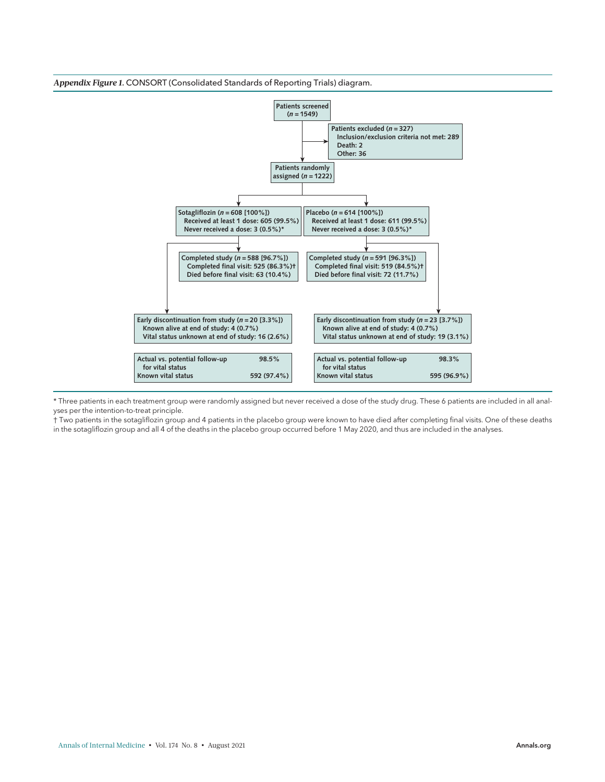

\* Three patients in each treatment group were randomly assigned but never received a dose of the study drug. These 6 patients are included in all analyses per the intention-to-treat principle.

† Two patients in the sotagliflozin group and 4 patients in the placebo group were known to have died after completing final visits. One of these deaths in the sotagliflozin group and all 4 of the deaths in the placebo group occurred before 1 May 2020, and thus are included in the analyses.